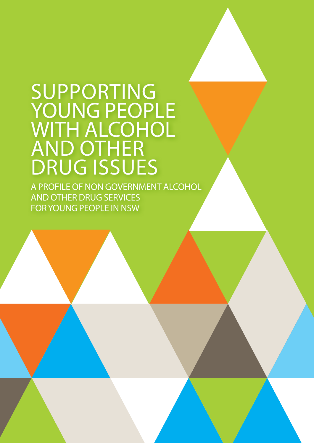# SUPPORTING YOUNG PEOPLE WITH ALCOHOL AND OTHER DRUG ISSUES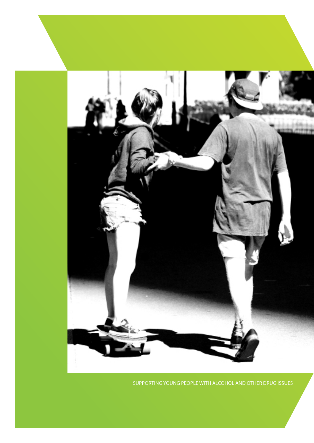

SUPPORTING YOUNG PEOPLE WITH ALCOHOL AND OTHER DRUG ISSUES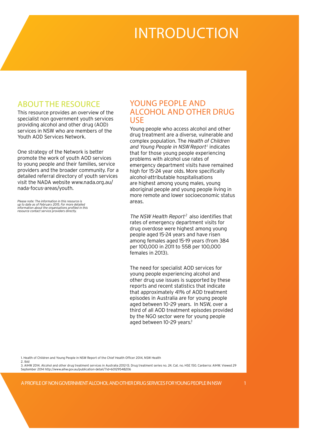# INTRODUCTION

### ABOUT THE RESOURCE

This resource provides an overview of the specialist non government youth services providing alcohol and other drug (AOD) services in NSW who are members of the Youth AOD Services Network.

One strategy of the Network is better promote the work of youth AOD services to young people and their families, service providers and the broader community. For a detailed referral directory of youth services visit the NADA website www.nada.org.au/ nada-focus-areas/youth.

*Please note: The information in this resource is up to date as of February 2015. For more detailed information about the organisations profiled in this resource contact service providers directly.* 

## YOUNG PEOPLE AND ALCOHOL AND OTHER DRUG USE

Young people who access alcohol and other drug treatment are a diverse, vulnerable and complex population. The Health of Children and Young People in NSW Report<sup>1</sup> indicates that for those young people experiencing problems with alcohol use rates of emergency department visits have remained high for 15-24 year olds. More specifically alcohol-attributable hospitalisations are highest among young males, young aboriginal people and young people living in more remote and lower socioeconomic status areas.

The NSW Health Report<sup>2</sup> also identifies that rates of emergency department visits for drug overdose were highest among young people aged 15-24 years and have risen among females aged 15-19 years (from 384 per 100,000 in 2011 to 558 per 100,000 females in 2013).

The need for specialist AOD services for young people experiencing alcohol and other drug use issues is supported by these reports and recent statistics that indicate that approximately 41% of AOD treatment episodes in Australia are for young people aged between 10–29 years. In NSW, over a third of all AOD treatment episodes provided by the NGO sector were for young people aged between 10-29 years.<sup>3</sup>

1. Health of Children and Young People in NSW Report of the Chief Health Officer 2014, NSW Health

2. Ibid 3. AIHW 2014. Alcohol and other drug treatment services in Australia 2012-13. Drug treatment series no. 24. Cat. no. HSE 150. Canberra: AIHW. Viewed 29 September 2014 http://www.aihw.gov.au/publication-detail/?id=60129548206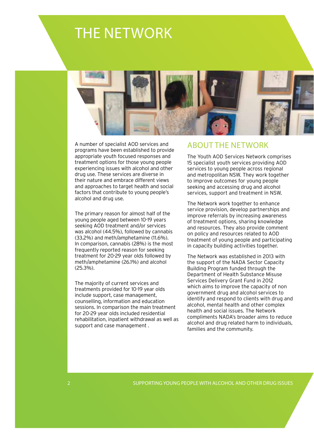# THE NETWORK



A number of specialist AOD services and programs have been established to provide appropriate youth focused responses and treatment options for those young people experiencing issues with alcohol and other drug use. These services are diverse in their nature and embrace different views and approaches to target health and social factors that contribute to young people's alcohol and drug use.

The primary reason for almost half of the young people aged between 10-19 years seeking AOD treatment and/or services was alcohol (44.5%), followed by cannabis (33.2%) and meth/amphetamine (11.6%). In comparison, cannabis (28%) is the most frequently reported reason for seeking treatment for 20-29 year olds followed by meth/amphetamine (26.1%) and alcohol (25.3%).

The majority of current services and treatments provided for 10-19 year olds include support, case management, counselling, information and education sessions. In comparison the main treatment for 20-29 year olds included residential rehabilitation, inpatient withdrawal as well as support and case management .

## ABOUT THE NETWORK

The Youth AOD Services Network comprises 15 specialist youth services providing AOD services to young people across regional and metropolitan NSW. They work together to improve outcomes for young people seeking and accessing drug and alcohol services, support and treatment in NSW.

The Network work together to enhance service provision, develop partnerships and improve referrals by increasing awareness of treatment options, sharing knowledge and resources. They also provide comment on policy and resources related to AOD treatment of young people and participating in capacity building activities together.

The Network was established in 2013 with the support of the NADA Sector Capacity Building Program funded through the Department of Health Substance Misuse Services Delivery Grant Fund in 2012 which aims to improve the capacity of non government drug and alcohol services to identify and respond to clients with drug and alcohol, mental health and other complex health and social issues. The Network compliments NADA's broader aims to reduce alcohol and drug related harm to individuals, families and the community.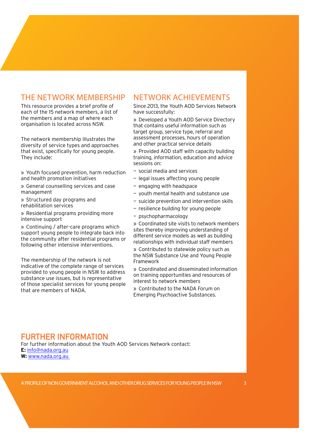## THE NETWORK MEMBERSHIP

This resource provides a brief profile of each of the 15 network members, a list of the members and a map of where each organisation is located across NSW.

The network membership illustrates the diversity of service types and approaches that exist, specifically for young people. They include:

» Youth focused prevention, harm reduction and health promotion initiatives

» General counselling services and case management

» Structured day programs and rehabilitation services

» Residential programs providing more intensive support

» Continuing / after-care programs which support young people to integrate back into the community after residential programs or following other intensive interventions.

The membership of the network is not indicative of the complete range of services provided to young people in NSW to address substance use issues, but is representative of those specialist services for young people that are members of NADA.

## NETWORK ACHIEVEMENTS

Since 2013, the Youth AOD Services Network have successfully:

» Developed a Youth AOD Service Directory that contains useful information such as target group, service type, referral and assessment processes, hours of operation and other practical service details

» Provided AOD staff with capacity building training, information, education and advice sessions on:

- social media and services
- legal issues affecting young people
- engaging with headspace
- youth mental health and substance use
- suicide prevention and intervention skills
- resilience building for young people
- psychopharmacology

» Coordinated site visits to network members sites thereby improving understanding of different service models as well as building relationships with individual staff members

» Contributed to statewide policy such as the NSW Substance Use and Young People Framework

» Coordinated and disseminated information on training opportunities and resources of interest to network members

» Contributed to the NADA Forum on Emerging Psychoactive Substances.

## **FURTHER INFORMATION**

For further information about the Youth AOD Services Network contact: **E:** [info@nada.org.au](mailto:info%40nada.org.au?subject=) **W:** [www.nada.org.au](http://www.nada.org.au )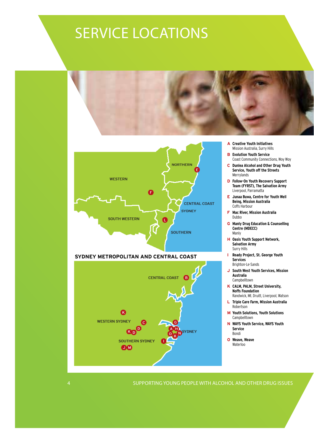# SERVICE LOCATIONS



4 SUPPORTING YOUNG PEOPLE WITH ALCOHOL AND OTHER DRUG ISSUES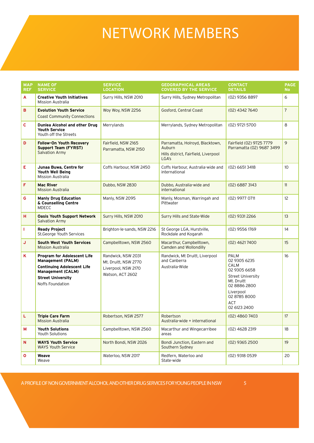# NETWORK MEMBERS

| <b>MAP</b><br><b>REF</b> | <b>NAME OF</b><br><b>SERVICE</b>                                                                                                                                         | <b>SERVICE</b><br><b>LOCATION</b>                                                     | <b>GEOGRAPHICAL AREAS</b><br><b>COVERED BY THE SERVICE</b>                                 | <b>CONTACT</b><br><b>DETAILS</b>                                                                                                                                         | <b>PAGE</b><br><b>No</b> |
|--------------------------|--------------------------------------------------------------------------------------------------------------------------------------------------------------------------|---------------------------------------------------------------------------------------|--------------------------------------------------------------------------------------------|--------------------------------------------------------------------------------------------------------------------------------------------------------------------------|--------------------------|
| A                        | <b>Creative Youth Initiatives</b><br>Mission Australia                                                                                                                   | Surry Hills, NSW 2010                                                                 | Surry Hills, Sydney Metropolitan                                                           | (02) 9356 8897                                                                                                                                                           | 6                        |
| в                        | <b>Evolution Youth Service</b><br><b>Coast Community Connections</b>                                                                                                     | Woy Woy, NSW 2256                                                                     | Gosford, Central Coast                                                                     | (02) 4342 7640                                                                                                                                                           | $\overline{7}$           |
| C                        | Dunlea Alcohol and other Drug<br><b>Youth Service</b><br>Youth off the Streets                                                                                           | Merrylands                                                                            | Merrylands, Sydney Metropolitan                                                            | (02) 9721 5700                                                                                                                                                           | 8                        |
| D                        | <b>Follow-On Youth Recovery</b><br><b>Support Team (FYRST)</b><br><b>Salvation Army</b>                                                                                  | Fairfield, NSW 2165<br>Parramatta, NSW 2150                                           | Parramatta, Holroyd, Blacktown,<br>Auburn<br>Hills district, Fairfield, Liverpool<br>LGA's | Fairfield (02) 9725 7779<br>Parramatta (02) 9687 3499                                                                                                                    | 9                        |
| E                        | Junaa Buwa, Centre for<br>Youth Well Being<br><b>Mission Australia</b>                                                                                                   | Coffs Harbour, NSW 2450                                                               | Coffs Harbour, Australia-wide and<br>international                                         | $(02)$ 6651 3418                                                                                                                                                         | 10 <sup>°</sup>          |
| F                        | <b>Mac River</b><br><b>Mission Australia</b>                                                                                                                             | Dubbo, NSW 2830                                                                       | Dubbo, Australia-wide and<br>international                                                 | (02) 6887 3143                                                                                                                                                           | 11                       |
| G                        | <b>Manly Drug Education</b><br>& Counselling Centre<br><b>MDECC</b>                                                                                                      | Manly, NSW 2095                                                                       | Manly, Mosman, Warringah and<br>Pittwater                                                  | (02) 9977 0711                                                                                                                                                           | 12                       |
| н                        | <b>Oasis Youth Support Network</b><br><b>Salvation Army</b>                                                                                                              | Surry Hills, NSW 2010                                                                 | Surry Hills and State-Wide                                                                 | (02) 9331 2266                                                                                                                                                           | 13                       |
| T.                       | <b>Ready Project</b><br>St.George Youth Services                                                                                                                         | Brighton-le-sands, NSW 2216                                                           | St George LGA, Hurstville,<br>Rockdale and Kogarah                                         | (02) 9556 1769                                                                                                                                                           | 14                       |
| J                        | <b>South West Youth Services</b><br><b>Mission Australia</b>                                                                                                             | Campbelltown, NSW 2560                                                                | Macarthur, Campbelltown,<br>Camden and Wollondilly                                         | $(02)$ 46217400                                                                                                                                                          | 15                       |
| Κ                        | <b>Program for Adolescent Life</b><br><b>Management (PALM)</b><br><b>Continuing Adolescent Life</b><br>Management (CALM)<br><b>Street University</b><br>Noffs Foundation | Randwick, NSW 2031<br>Mt. Druitt, NSW 2770<br>Liverpool, NSW 2170<br>Watson, ACT 2602 | Randwick, Mt Druitt, Liverpool<br>and Canberra<br>Australia-Wide                           | <b>PALM</b><br>02 9305 6235<br><b>CALM</b><br>02 9305 6658<br><b>Street University</b><br>Mt. Druitt<br>02 8886 2800<br>Liverpool<br>02 8785 8000<br>ACT<br>02 6123 2400 | 16                       |
| L                        | <b>Triple Care Farm</b><br><b>Mission Australia</b>                                                                                                                      | Robertson, NSW 2577                                                                   | Robertson<br>Australia-wide + international                                                | $(02)$ 4860 7403                                                                                                                                                         | 17                       |
| М                        | <b>Youth Solutions</b><br>Youth Solutions                                                                                                                                | Campbelltown, NSW 2560                                                                | Macarthur and Wingecarribee<br>areas                                                       | (02) 4628 2319                                                                                                                                                           | 18                       |
| N                        | <b>WAYS Youth Service</b><br><b>WAYS Youth Service</b>                                                                                                                   | North Bondi, NSW 2026                                                                 | Bondi Junction, Eastern and<br>Southern Sydney                                             | $(02)$ 9365 2500                                                                                                                                                         | 19                       |
| О                        | Weave<br>Weave                                                                                                                                                           | Waterloo, NSW 2017                                                                    | Redfern, Waterloo and<br>State-wide                                                        | (02) 9318 0539                                                                                                                                                           | 20                       |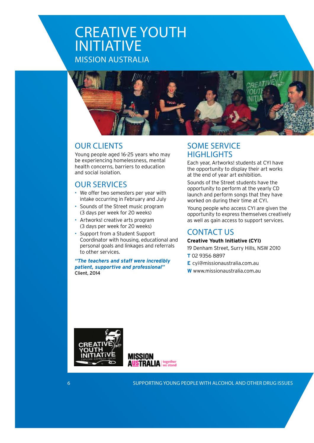## CREATIVE YOUTH INITIATIVE MISSION AUSTRALIA



## OUR CLIENTS

Young people aged 16-25 years who may be experiencing homelessness, mental health concerns, barriers to education and social isolation.

## OUR SERVICES

- We offer two semesters per year with intake occurring in February and July
- Sounds of the Street music program (3 days per week for 20 weeks)
- Artworks! creative arts program (3 days per week for 20 weeks)
- Support from a Student Support Coordinator with housing, educational and personal goals and linkages and referrals to other services.

*"The teachers and staff were incredibly patient, supportive and professional"* Client, 2014

## SOME SERVICE **HIGHLIGHTS**

Each year, Artworks! students at CYI have the opportunity to display their art works at the end of year art exhibition.

Sounds of the Street students have the opportunity to perform at the yearly CD launch and perform songs that they have worked on during their time at CYI.

Young people who access CYI are given the opportunity to express themselves creatively as well as gain access to support services.

## CONTACT US

#### **Creative Youth Initiative (CYI)**

- 19 Denham Street, Surry Hills, NSW 2010
- **T** 02 9356 8897
- **E** [cyi@missionaustralia.com.au](mailto:cyi@missionaustralia.com.au)
- **W**<www.missionaustralia.com.au>



**MISSION AUSTRALIA** we stand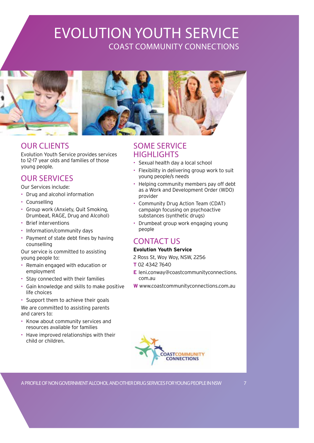## EVOLUTION YOUTH SERVICE COAST COMMUNITY CONNECTIONS





## OUR CLIENTS

Evolution Youth Service provides services to 12-17 year olds and families of those young people.

## OUR SERVICES

Our Services include:

- Drug and alcohol information
- Counselling
- Group work (Anxiety, Quit Smoking, Drumbeat, RAGE, Drug and Alcohol)
- Brief interventions
- Information/community days
- Payment of state debt fines by having counselling

Our service is committed to assisting young people to:

- Remain engaged with education or employment
- Stay connected with their families
- Gain knowledge and skills to make positive life choices
- Support them to achieve their goals We are committed to assisting parents and carers to:
- Know about community services and resources available for families
- Have improved relationships with their child or children.

## SOME SERVICE **HIGHLIGHTS**

- Sexual health day a local school
- Flexibility in delivering group work to suit young people/s needs
- Helping community members pay off debt as a Work and Development Order (WDO) provider
- Community Drug Action Team (CDAT) campaign focusing on psychoactive substances (synthetic drugs)
- Drumbeat group work engaging young people

## CONTACT US

#### **Evolution Youth Service**

- 2 Ross St, Woy Woy, NSW, 2256
- **T** 02 4342 7640
- **E** [leni.conway@coastcommunityconnections.](mailto:leni.conway@coastcommunityconnections.com.au) [com.au](mailto:leni.conway@coastcommunityconnections.com.au)
- **W**<www.coastcommunityconnections.com.au>

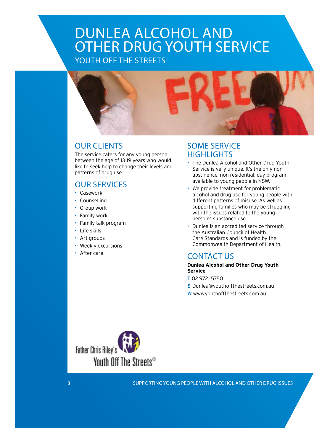## DUNLEA ALCOHOL AND OTHER DRUG YOUTH SERVICE YOUTH OFF THE STREETS



## OUR CLIENTS

The service caters for any young person between the age of 13-19 years who would like to seek help to change their levels and patterns of drug use.

## OUR SERVICES

- Casework
- **Counselling**
- Group work
- Family work
- Family talk program
- Life skills
- Art groups
- Weekly excursions
- After care

## SOME SERVICE **HIGHLIGHTS**

- The Dunlea Alcohol and Other Drug Youth Service is very unique. It's the only non abstinence, non residential, day program available to young people in NSW.
- We provide treatment for problematic alcohol and drug use for young people with different patterns of misuse. As well as supporting families who may be struggling with the issues related to the young person's substance use.
- Dunlea is an accredited service through the Australian Council of Health Care Standards and is funded by the Commonwealth Department of Health.

## CONTACT US

#### **Dunlea Alcohol and Other Drug Youth Service**

- **T** 02 9721 5750
- **E** [Dunlea@youthoffthestreets.com.au](mailto:Dunlea@youthoffthestreets.com.au)
- **W**<www.youthoffthestreets.com.au>

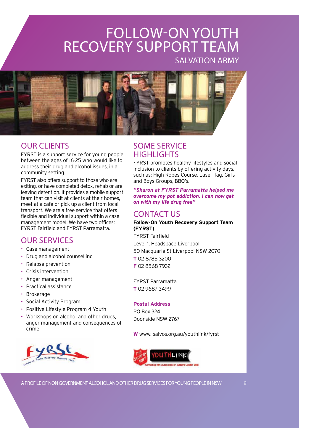# FOLLOW-ON YOUTH RECOVERY SUPPORT TEAM

SALVATION ARMY



## OUR CLIENTS

FYRST is a support service for young people between the ages of 16-25 who would like to address their drug and alcohol issues, in a community setting.

FYRST also offers support to those who are exiting, or have completed detox, rehab or are leaving detention. It provides a mobile support team that can visit at clients at their homes, meet at a cafe or pick up a client from local transport. We are a free service that offers flexible and individual support within a case management model. We have two offices; FYRST Fairfield and FYRST Parramatta.

## OUR SERVICES

- Case management
- Drug and alcohol counselling
- Relapse prevention
- Crisis intervention
- Anger management
- Practical assistance
- Brokerage
- Social Activity Program
- Positive Lifestyle Program 4 Youth
- Workshops on alcohol and other drugs, anger management and consequences of crime



## SOME SERVICE **HIGHLIGHTS**

FYRST promotes healthy lifestyles and social inclusion to clients by offering activity days, such as; High Ropes Course, Laser Tag, Girls and Boys Groups, BBQ's.

*"Sharon at FYRST Parramatta helped me overcome my pot addiction. I can now get on with my life drug free"*

## CONTACT US

#### **Follow-On Youth Recovery Support Team (FYRST)**

FYRST Fairfield Level 1, Headspace Liverpool 50 Macquarie St Liverpool NSW 2070 **T** 02 8785 3200 **F** 02 8568 7932

FYRST Parramatta **T** 02 9687 3499

#### **Postal Address**

PO Box 324 Doonside NSW 2767

**W** www. <salvos.org.au/youthlink/fyrst>

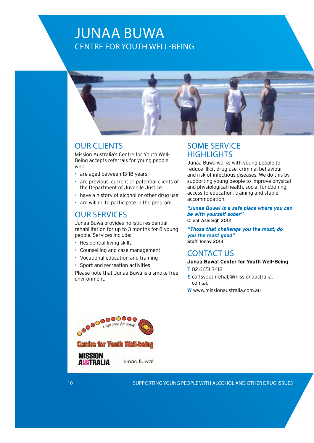## JUNAA BUWA CENTRE FOR YOUTH WELL-BEING



### OUR CLIENTS

Mission Australia's Centre for Youth Well-Being accepts referrals for young people who:

- are aged between 13-18 years
- are previous, current or potential clients of the Department of Juvenile Justice
- have a history of alcohol or other drug use
- are willing to participate in the program.

### OUR SERVICES

Junaa Buwa provides holistic residential rehabilitation for up to 3 months for 8 young people. Services include:

- Residential living skills
- Counselling and case management
- Vocational education and training
- Sport and recreation activities

Please note that Junaa Buwa is a smoke free environment.

## SOME SERVICE **HIGHLIGHTS**

Junaa Buwa works with young people to reduce illicit drug use, criminal behaviour and risk of infectious diseases. We do this by supporting young people to improve physical and physiological health, social functioning, access to education, training and stable accommodation.

*"Junaa Buwa! is a safe place where you can be with yourself sober"* Client Ashleigh 2012

*"Those that challenge you the most, do you the most good"* Staff Tonny 2014

### CONTACT US

**Junaa Buwa! Center for Youth Well-Being**

- **T** 02 6651 3418
- **E** coffsyouthrehab@missionaustralia. <com.au>
- **W**<www.missionaustralia.com.au>

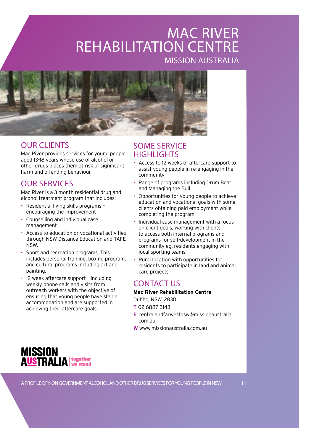## MAC RIVER REHABILITATION CENTRE MISSION AUSTRALIA



## OUR CLIENTS

Mac River provides services for young people, aged 13-18 years whose use of alcohol or other drugs places them at risk of significant harm and offending behaviour.

## OUR SERVICES

Mac River is a 3 month residential drug and alcohol treatment program that includes:

- Residential living skills programs encouraging the improvement
- Counselling and individual case management
- Access to education or vocational activities through NSW Distance Education and TAFE NSW.
- Sport and recreation programs. This includes personal training, boxing program, and cultural programs including art and painting.
- 12 week aftercare support including weekly phone calls and visits from outreach workers with the objective of ensuring that young people have stable accommodation and are supported in achieving their aftercare goals.



## SOME SERVICE **HIGHLIGHTS**

- Access to 12 weeks of aftercare support to assist young people in re-engaging in the community
- Range of programs including Drum Beat and Managing the Bull
- Opportunities for young people to achieve education and vocational goals with some clients obtaining paid employment while completing the program
- Individual case management with a focus on client goals, working with clients to access both internal programs and programs for self-development in the community eg. residents engaging with local sporting teams
- Rural location with opportunities for residents to participate in land and animal care projects

## CONTACT US

#### **Mac River Rehabilitation Centre**

Dubbo, NSW, 2830

**T** 02 6887 3143

- **E** [centralandfarwestnsw@missionaustralia.](mailto:centralandfarwestnsw@missionaustralia.com.au) [com.au](mailto:centralandfarwestnsw@missionaustralia.com.au)
- **W**<www.missionaustralia.com.au>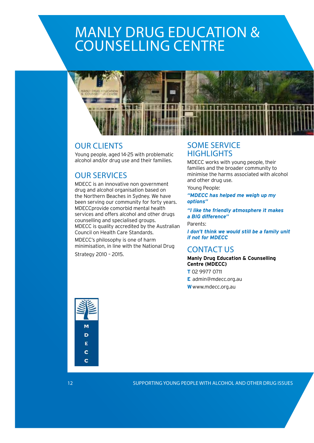# MANLY DRUG EDUCATION & COUNSELLING CENTRE



## OUR CLIENTS

Young people, aged 14-25 with problematic alcohol and/or drug use and their families.

## OUR SERVICES

MDECC is an innovative non government drug and alcohol organisation based on the Northern Beaches in Sydney. We have been serving our community for forty years. MDECCprovide comorbid mental health services and offers alcohol and other drugs counselling and specialised groups. MDECC is quality accredited by the Australian Council on Health Care Standards.

MDECC's philosophy is one of harm minimisation, in line with the National Drug

Strategy 2010 – 2015.

## SOME SERVICE **HIGHLIGHTS**

MDECC works with young people, their families and the broader community to minimise the harms associated with alcohol and other drug use.

Young People:

*"MDECC has helped me weigh up my options"* 

*"I like the friendly atmosphere it makes a BIG difference"* 

Parents:

*I don't think we would still be a family unit if not for MDECC*

## CONTACT US

**Manly Drug Education & Counselling Centre (MDECC)**

- **T** 02 9977 0711
- **E** [admin@mdecc.org.au](mailto:admin@mdecc.org.au)
- **W**<www.mdecc.org.au>

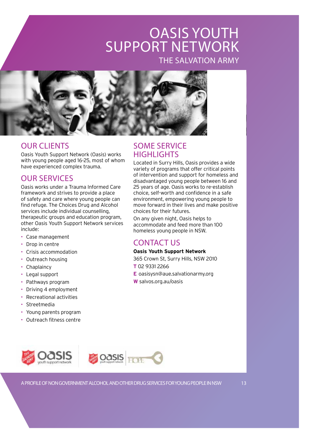## OASIS YOUTH SUPPORT NETWORK THE SALVATION ARMY



## OUR CLIENTS

Oasis Youth Support Network (Oasis) works with young people aged 16-25, most of whom have experienced complex trauma.

## OUR SERVICES

Oasis works under a Trauma Informed Care framework and strives to provide a place of safety and care where young people can find refuge. The Choices Drug and Alcohol services include individual counselling, therapeutic groups and education program, other Oasis Youth Support Network services include:

- Case management
- Drop in centre
- Crisis accommodation
- Outreach housing
- Chaplaincy
- Legal support
- Pathways program
- Driving 4 employment
- Recreational activities
- Streetmedia
- Young parents program
- Outreach fitness centre

## SOME SERVICE **HIGHLIGHTS**

Located in Surry Hills, Oasis provides a wide variety of programs that offer critical points of intervention and support for homeless and disadvantaged young people between 16 and 25 years of age. Oasis works to re-establish choice, self-worth and confidence in a safe environment, empowering young people to move forward in their lives and make positive choices for their futures.

On any given night, Oasis helps to accommodate and feed more than 100 homeless young people in NSW.

## CONTACT US

#### **Oasis Youth Support Network**

365 Crown St, Surry Hills, NSW 2010

- **T** 02 9331 2266
- **E** [oasisysn@aue.salvationarmy.org](mailto:oasisysn@aue.salvationarmy.org)

**W** <salvos.org.au/oasis>

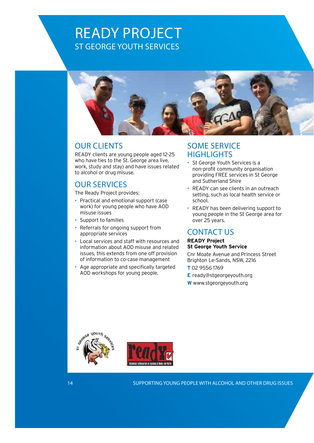## READY PROJECT ST GEORGE YOUTH SERVICES



## OUR CLIENTS

READY clients are young people aged 12-25 who have ties to the St. George area live, work, study and stay) and have issues related to alcohol or drug misuse.

## OUR SERVICES

The Ready Project provides:

- Practical and emotional support (case work) for young people who have AOD misuse issues
- Support to families
- Referrals for ongoing support from appropriate services
- Local services and staff with resources and information about AOD misuse and related issues, this extends from one off provision of information to co-case management
- Age appropriate and specifically targeted AOD workshops for young people.

## SOME SERVICE **HIGHLIGHTS**

- St George Youth Services is a non-profit community organisation providing FREE services in St George and Sutherland Shire
- READY can see clients in an outreach setting, such as local health service or school.
- READY has been delivering support to young people in the St George area for over 25 years.

## CONTACT US

#### **READY Project St George Youth Service**

Cnr Moate Avenue and Princess Street Brighton Le-Sands, NSW, 2216

- **T** 02 9556 1769
- **E** [ready@stgeorgeyouth.org](mailto:ready@stgeorgeyouth.org)
- **W**<www.stgeorgeyouth.org>



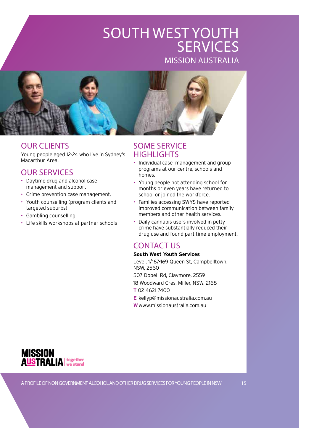## SOUTH WEST YOUTH **SERVICES** MISSION AUSTRALIA



## OUR CLIENTS

Young people aged 12-24 who live in Sydney's Macarthur Area.

## OUR SERVICES

- Daytime drug and alcohol case management and support
- Crime prevention case management.
- Youth counselling (program clients and targeted suburbs)
- Gambling counselling
- Life skills workshops at partner schools

## SOME SERVICE **HIGHLIGHTS**

- Individual case management and group programs at our centre, schools and homes.
- Young people not attending school for months or even years have returned to school or joined the workforce.
- Families accessing SWYS have reported improved communication between family members and other health services.
- Daily cannabis users involved in petty crime have substantially reduced their drug use and found part time employment.

## CONTACT US

#### **South West Youth Services**

Level, 1/167-169 Queen St, Campbelltown, NSW, 2560 507 Dobell Rd, Claymore, 2559

18 Woodward Cres, Miller, NSW, 2168

**T** 02 4621 7400

**E** [kellyp@missionaustralia.com.au](mailto:kellyp@missionaustralia.com.au)

**W**<www.missionaustralia.com.au>

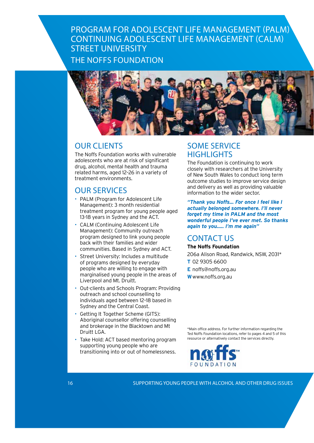## PROGRAM FOR ADOLESCENT LIFE MANAGEMENT (PALM) CONTINUING ADOLESCENT LIFE MANAGEMENT (CALM) STREET UNIVERSITY THE NOFFS FOUNDATION



## OUR CLIENTS

The Noffs Foundation works with vulnerable adolescents who are at risk of significant drug, alcohol, mental health and trauma related harms, aged 12–26 in a variety of treatment environments.

## OUR SERVICES

- PALM (Program for Adolescent Life Management): 3 month residential treatment program for young people aged 13-18 years in Sydney and the ACT.
- CALM (Continuing Adolescent Life Management): Community outreach program designed to link young people back with their families and wider communities. Based in Sydney and ACT.
- Street University: Includes a multitude of programs designed by everyday people who are willing to engage with marginalised young people in the areas of Liverpool and Mt. Druitt.
- Out-clients and Schools Program: Providing outreach and school counselling to individuals aged between 12–18 based in Sydney and the Central Coast.
- Getting It Together Scheme (GITS): Aboriginal counsellor offering counselling and brokerage in the Blacktown and Mt Druitt LGA.
- Take Hold: ACT based mentoring program supporting young people who are transitioning into or out of homelessness.

## SOME SERVICE **HIGHLIGHTS**

The Foundation is continuing to work closely with researchers at the University of New South Wales to conduct long term outcome studies to improve service design and delivery as well as providing valuable information to the wider sector.

*"Thank you Noffs... For once I feel like I actually belonged somewhere. I'll never forget my time in PALM and the most wonderful people I've ever met. So thanks again to you..... I'm me again"*

## CONTACT US

#### **The Noffs Foundation**

206a Alison Road, Randwick, NSW, 2031\* **T** 02 9305 6600

- **E** [noffs@noffs.org.au](mailto:noffs@noffs.org.au)
- **W**<www.noffs.org.au>

\*Main office address. For further information regarding the Ted Noffs Foundation locations, refer to pages 4 and 5 of this resource or alternatively contact the services directly.

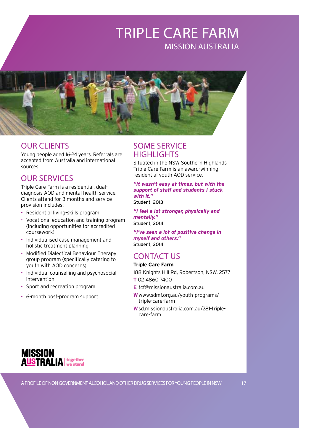## TRIPLE CARE FARM MISSION AUSTRALIA



## OUR CLIENTS

Young people aged 16-24 years. Referrals are accepted from Australia and international sources.

## OUR SERVICES

Triple Care Farm is a residential, dualdiagnosis AOD and mental health service. Clients attend for 3 months and service provision includes:

- Residential living-skills program
- Vocational education and training program (including opportunities for accredited coursework)
- Individualised case management and holistic treatment planning
- Modified Dialectical Behaviour Therapy group program (specifically catering to youth with AOD concerns)
- Individual counselling and psychosocial intervention
- Sport and recreation program
- 6-month post-program support

## SOME SERVICE **HIGHLIGHTS**

Situated in the NSW Southern Highlands Triple Care Farm is an award-winning residential youth AOD service.

*"It wasn't easy at times, but with the support of staff and students I stuck with it."*

Student, 2013

*"I feel a lot stronger, physically and mentally."* Student, 2014

*"I've seen a lot of positive change in myself and others."* Student, 2014

## CONTACT US

#### **Triple Care Farm**

188 Knights Hill Rd, Robertson, NSW, 2577 **T** 02 4860 7400

- **E** [tcf@missionaustralia.com.au](mailto:tcf@missionaustralia.com.au)
- **W**<www.sdmf.org.au/youth>-programs/ triple-care-farm
- **W**<sd.missionaustralia.com.au>/281-triplecare-farm

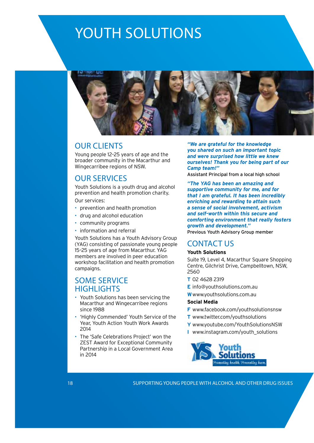# YOUTH SOLUTIONS



### OUR CLIENTS

Young people 12–25 years of age and the broader community in the Macarthur and Wingecarribee regions of NSW.

## OUR SERVICES

Youth Solutions is a youth drug and alcohol prevention and health promotion charity.

Our services:

- prevention and health promotion
- drug and alcohol education
- community programs
- information and referral

Youth Solutions has a Youth Advisory Group (YAG) consisting of passionate young people 15–25 years of age from Macarthur. YAG members are involved in peer education workshop facilitation and health promotion campaigns.

## SOME SERVICE **HIGHLIGHTS**

- Youth Solutions has been servicing the Macarthur and Wingecarribee regions since 1988
- 'Highly Commended' Youth Service of the Year, Youth Action Youth Work Awards 2014
- The 'Safe Celebrations Project' won the ZEST Award for Exceptional Community Partnership in a Local Government Area in 2014

*"We are grateful for the knowledge you shared on such an important topic and were surprised how little we knew ourselves! Thank you for being part of our Camp team!"* 

Assistant Principal from a local high school

*"The YAG has been an amazing and supportive community for me, and for that I am grateful. It has been incredibly enriching and rewarding to attain such a sense of social involvement, activism and self-worth within this secure and comforting environment that really fosters growth and development."*

Previous Youth Advisory Group member

### CONTACT US

#### **Youth Solutions**

Suite 19, Level 4, Macarthur Square Shopping Centre, Gilchrist Drive, Campbelltown, NSW, 2560

- **T** 02 4628 2319
- **E** [info@youthsolutions.com.au](mailto:info@youthsolutions.com.au)
- **W**<www.youthsolutions.com.au>

#### **Social Media**

- **F** <www.facebook.com/youthsolutionsnsw>
- **T** <www.twitter.com/youthsolutions>
- **Y** <www.youtube.com/YouthSolutionsNSW>
- **I** [www.instagram.com/youth\\_](www.instagram.com/youth)solutions



18 SUPPORTING YOUNG PEOPLE WITH ALCOHOL AND OTHER DRUG ISSUES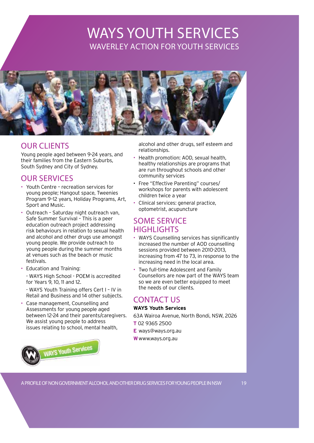## WAYS YOUTH SERVICES WAVERLEY ACTION FOR YOUTH SERVICES



## OUR CLIENTS

Young people aged between 9-24 years, and their families from the Eastern Suburbs, South Sydney and City of Sydney.

## OUR SERVICES

- Youth Centre recreation services for young people; Hangout space, Tweenies Program 9–12 years, Holiday Programs, Art, Sport and Music.
- Outreach Saturday night outreach van, Safe Summer Survival – This is a peer education outreach project addressing risk behaviours in relation to sexual health and alcohol and other drugs use amongst young people. We provide outreach to young people during the summer months at venues such as the beach or music festivals.
- Education and Training: - WAYS High School - POEM is accredited for Years 9, 10, 11 and 12.

- WAYS Youth Training offers Cert I – IV in Retail and Business and 14 other subjects.

• Case management, Counselling and Assessments for young people aged between 12-24 and their parents/caregivers. We assist young people to address issues relating to school, mental health,



alcohol and other drugs, self esteem and relationships.

- Health promotion: AOD, sexual health, healthy relationships are programs that are run throughout schools and other community services
- Free "Effective Parenting" courses/ workshops for parents with adolescent children twice a year
- Clinical services: general practice, optometrist, acupuncture

## SOME SERVICE **HIGHLIGHTS**

- WAYS Counselling services has significantly increased the number of AOD counselling sessions provided between 2010-2013, increasing from 47 to 73, in response to the increasing need in the local area.
- Two full-time Adolescent and Family Counsellors are now part of the WAYS team so we are even better equipped to meet the needs of our clients.

## CONTACT US

#### **WAYS Youth Services**

63A Wairoa Avenue, North Bondi, NSW, 2026 **T** 02 9365 2500

- **E** [ways@ways.org.au](mailto:ways@ways.org.au)
- **W**<www.ways.org.au>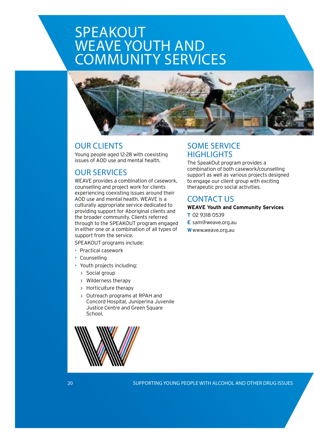# SPEAKOUT WEAVE YOUTH AND COMMUNITY SERVICES



## OUR CLIENTS

Young people aged 12-28 with coexisting issues of AOD use and mental health.

## OUR SERVICES

WEAVE provides a combination of casework, counselling and project work for clients experiencing coexisting issues around their AOD use and mental health. WEAVE is a culturally appropriate service dedicated to providing support for Aboriginal clients and the broader community. Clients referred through to the SPEAKOUT program engaged in either one or a combination of all types of support from the service.

SPEAKOUT programs include:

- Practical casework
- Counselling
- Youth projects including:
	- › Social group
	- › Wilderness therapy
	- › Horticulture therapy
	- › Outreach programs at RPAH and Concord Hospital, Juniperina Juvenile Justice Centre and Green Square School.



## SOME SERVICE **HIGHLIGHTS**

The SpeakOut program provides a combination of both casework/counselling support as well as various projects designed to engage our client group with exciting therapeutic pro social activities.

### CONTACT US

#### **WEAVE Youth and Community Services**

- **T** 02 9318 0539
- **E** [sam@weave.org.au](mailto:sam%40weave.org.au?subject=)
- **W**<www.weave.org.au>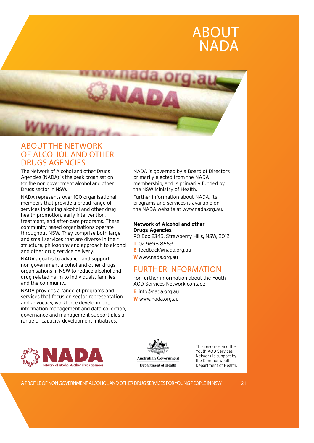

## ABOUT THE NETWORK OF ALCOHOL AND OTHER DRUGS AGENCIES

The Network of Alcohol and other Drugs Agencies (NADA) is the peak organisation for the non government alcohol and other Drugs sector in NSW.

NADA represents over 100 organisational members that provide a broad range of services including alcohol and other drug health promotion, early intervention, treatment, and after-care programs. These community based organisations operate throughout NSW. They comprise both large and small services that are diverse in their structure, philosophy and approach to alcohol and other drug service delivery.

NADA's goal is to advance and support non government alcohol and other drugs organisations in NSW to reduce alcohol and drug related harm to individuals, families and the community.

NADA provides a range of programs and services that focus on sector representation and advocacy, workforce development, information management and data collection, governance and management support plus a range of capacity development initiatives.



NADA is governed by a Board of Directors primarily elected from the NADA membership, and is primarily funded by the NSW Ministry of Health.

Further information about NADA, its programs and services is available on the NADA website at [www.nada.org.au.](www.nada.org.au)

#### **Network of Alcohol and other Drugs Agencies**

PO Box 2345, Strawberry Hills, NSW, 2012

- **T** 02 9698 8669
- **E** [feedback@nada.org.au](mailto:feedback@nada.org.au)
- **W**<www.nada.org.au>

## FURTHER INFORMATION

For further information about the Youth AOD Services Network contact:

- **E** [info@nada.org.au](mailto:info@nada.org.au)
- **W** <www.nada.org.au>



This resource and the Youth AOD Services Network is support by the Commonwealth Department of Health.